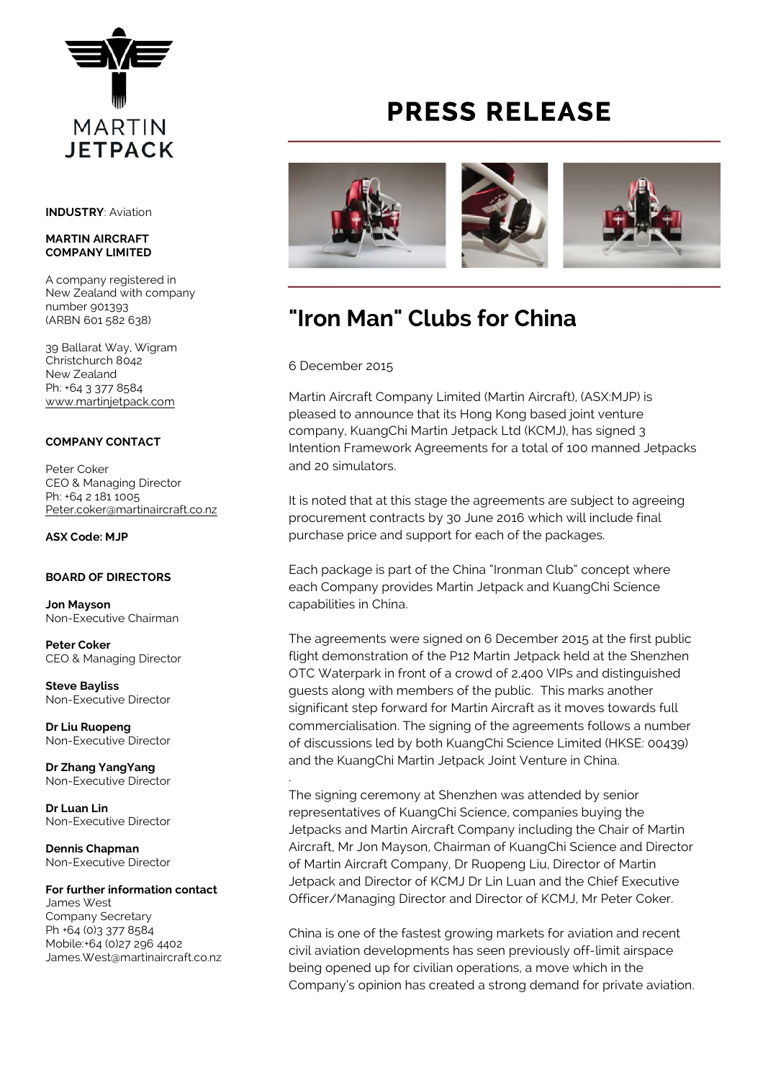

**INDUSTRY**: Aviation

#### **MARTIN AIRCRAFT COMPANY LIMITED**

A company registered in New Zealand with company number 901393 (ARBN 601 582 638)

39 Ballarat Way, Wigram Christchurch 8042 New Zealand Ph: +64 3 377 8584 [www.martinjetpack.com](http://www.martinjetpack.com)

## **COMPANY CONTACT**

Peter Coker CEO & Managing Director Ph: +64 2 181 1005 [Peter.coker@martinaircraft.co.nz](mailto:Peter.coker@martinaircraft.co.nz)

**ASX Code: MJP**

## **BOARD OF DIRECTORS**

**Jon Mayson**  Non-Executive Chairman

**Peter Coker**  CEO & Managing Director

**Steve Bayliss** Non-Executive Director

**Dr Liu Ruopeng**  Non-Executive Director

**Dr Zhang YangYang**  Non-Executive Director

**Dr Luan Lin** Non-Executive Director

**Dennis Chapman** Non-Executive Director

# **For further information contact**

James West Company Secretary Ph +64 (0)3 377 8584 Mobile:+64 (0)27 296 4402 James.West@martinaircraft.co.nz

# **PRESS RELEASE**



# **"Iron Man" Clubs for China**

6 December 2015

.

Martin Aircraft Company Limited (Martin Aircraft), (ASX:MJP) is pleased to announce that its Hong Kong based joint venture company, KuangChi Martin Jetpack Ltd (KCMJ), has signed 3 Intention Framework Agreements for a total of 100 manned Jetpacks and 20 simulators.

It is noted that at this stage the agreements are subject to agreeing procurement contracts by 30 June 2016 which will include final purchase price and support for each of the packages.

Each package is part of the China "Ironman Club" concept where each Company provides Martin Jetpack and KuangChi Science capabilities in China.

The agreements were signed on 6 December 2015 at the first public flight demonstration of the P12 Martin Jetpack held at the Shenzhen OTC Waterpark in front of a crowd of 2,400 VIPs and distinguished guests along with members of the public. This marks another significant step forward for Martin Aircraft as it moves towards full commercialisation. The signing of the agreements follows a number of discussions led by both KuangChi Science Limited (HKSE: 00439) and the KuangChi Martin Jetpack Joint Venture in China.

The signing ceremony at Shenzhen was attended by senior representatives of KuangChi Science, companies buying the Jetpacks and Martin Aircraft Company including the Chair of Martin Aircraft, Mr Jon Mayson, Chairman of KuangChi Science and Director of Martin Aircraft Company, Dr Ruopeng Liu, Director of Martin Jetpack and Director of KCMJ Dr Lin Luan and the Chief Executive Officer/Managing Director and Director of KCMJ, Mr Peter Coker.

China is one of the fastest growing markets for aviation and recent civil aviation developments has seen previously off-limit airspace being opened up for civilian operations, a move which in the Company's opinion has created a strong demand for private aviation.